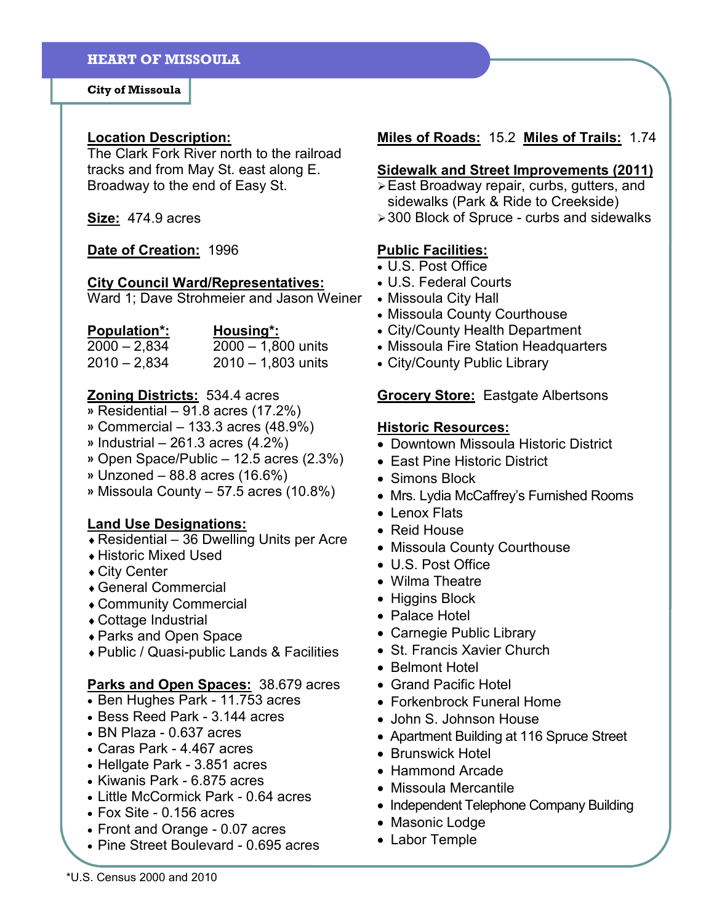City of Missoula

#### Location Description:

The Clark Fork River north to the railroad tracks and from May St. east along E. Broadway to the end of Easy St.

Size: 474.9 acres

#### Date of Creation: 1996

#### City Council Ward/Representatives:

Ward 1; Dave Strohmeier and Jason Weiner

| <b>Population*:</b> | Housing*:            |
|---------------------|----------------------|
| $2000 - 2,834$      | $2000 - 1,800$ units |
| $2010 - 2,834$      | $2010 - 1,803$ units |

## Zoning Districts: 534.4 acres

- » Residential 91.8 acres (17.2%)
- » Commercial 133.3 acres (48.9%)
- $\textdegree$  Industrial 261.3 acres (4.2%)
- » Open Space/Public 12.5 acres (2.3%)
- » Unzoned 88.8 acres (16.6%)
- » Missoula County 57.5 acres (10.8%)

# Land Use Designations:

- $\triangle$  Residential 36 Dwelling Units per Acre
- ♦ Historic Mixed Used
- ♦ City Center
- ♦ General Commercial
- ♦ Community Commercial
- ♦ Cottage Industrial
- ♦ Parks and Open Space
- ♦ Public / Quasi-public Lands & Facilities

## Parks and Open Spaces: 38.679 acres

- Ben Hughes Park 11.753 acres
- Bess Reed Park 3.144 acres
- BN Plaza 0.637 acres
- Caras Park 4.467 acres
- Hellgate Park 3.851 acres
- Kiwanis Park 6.875 acres
- Little McCormick Park 0.64 acres
- Fox Site 0.156 acres
- Front and Orange 0.07 acres
- Pine Street Boulevard 0.695 acres

# Miles of Roads: 15.2 Miles of Trails: 1.74

#### Sidewalk and Street Improvements (2011)

- East Broadway repair, curbs, gutters, and sidewalks (Park & Ride to Creekside)
- 300 Block of Spruce curbs and sidewalks

# Public Facilities:

- U.S. Post Office
- U.S. Federal Courts
- Missoula City Hall
- Missoula County Courthouse
- City/County Health Department
- Missoula Fire Station Headquarters
- City/County Public Library

#### **Grocery Store:** Eastgate Albertsons

#### Historic Resources:

- Downtown Missoula Historic District
- East Pine Historic District
- Simons Block
- Mrs. Lydia McCaffrey's Furnished Rooms
- Lenox Flats
- Reid House
- Missoula County Courthouse
- U.S. Post Office
- Wilma Theatre
- Higgins Block
- Palace Hotel
- Carnegie Public Library
- St. Francis Xavier Church
- Belmont Hotel
- Grand Pacific Hotel
- Forkenbrock Funeral Home
- John S. Johnson House
- Apartment Building at 116 Spruce Street
- Brunswick Hotel
- Hammond Arcade
- Missoula Mercantile
- Independent Telephone Company Building
- Masonic Lodge
- Labor Temple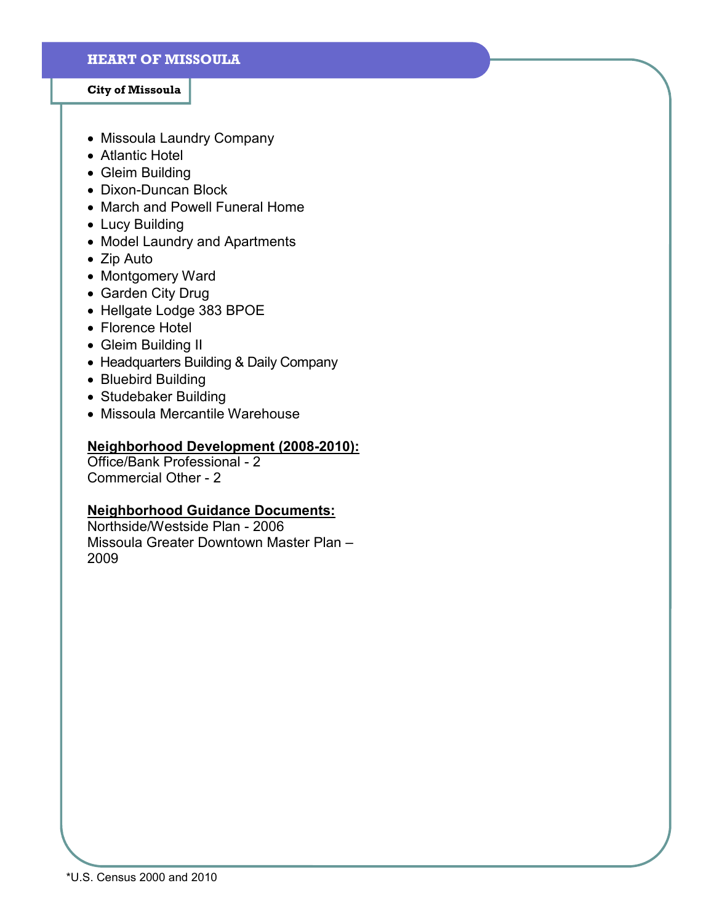#### City of Missoula

- Missoula Laundry Company
- Atlantic Hotel
- Gleim Building
- Dixon-Duncan Block
- March and Powell Funeral Home
- Lucy Building
- Model Laundry and Apartments
- Zip Auto
- Montgomery Ward
- Garden City Drug
- Hellgate Lodge 383 BPOE
- Florence Hotel
- Gleim Building II
- Headquarters Building & Daily Company
- Bluebird Building
- Studebaker Building
- Missoula Mercantile Warehouse

# Neighborhood Development (2008-2010):

Office/Bank Professional - 2 Commercial Other - 2

# Neighborhood Guidance Documents:

Northside/Westside Plan - 2006 Missoula Greater Downtown Master Plan – 2009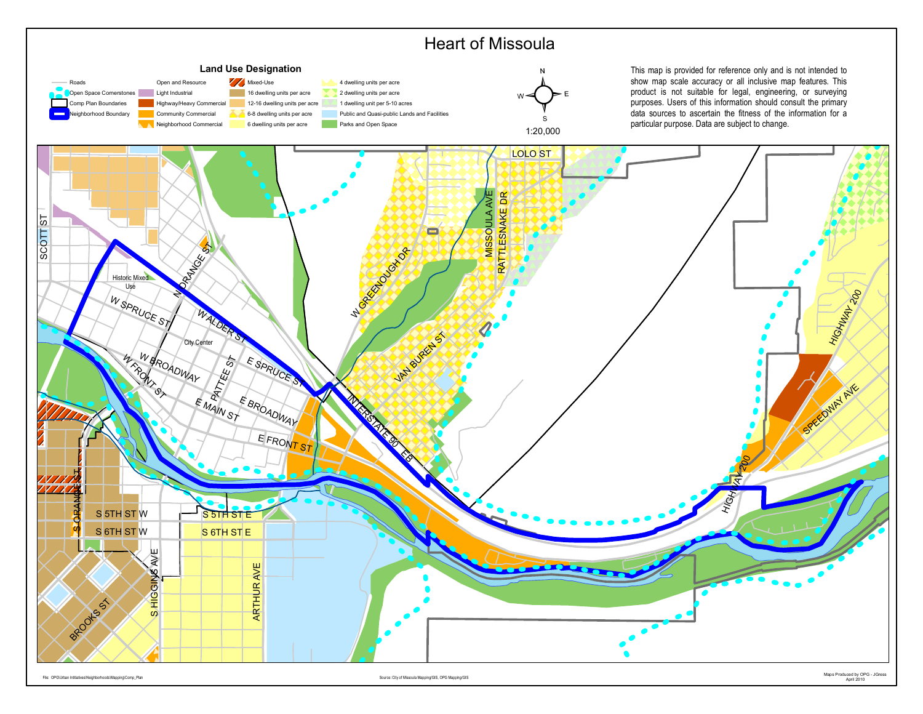

April 2010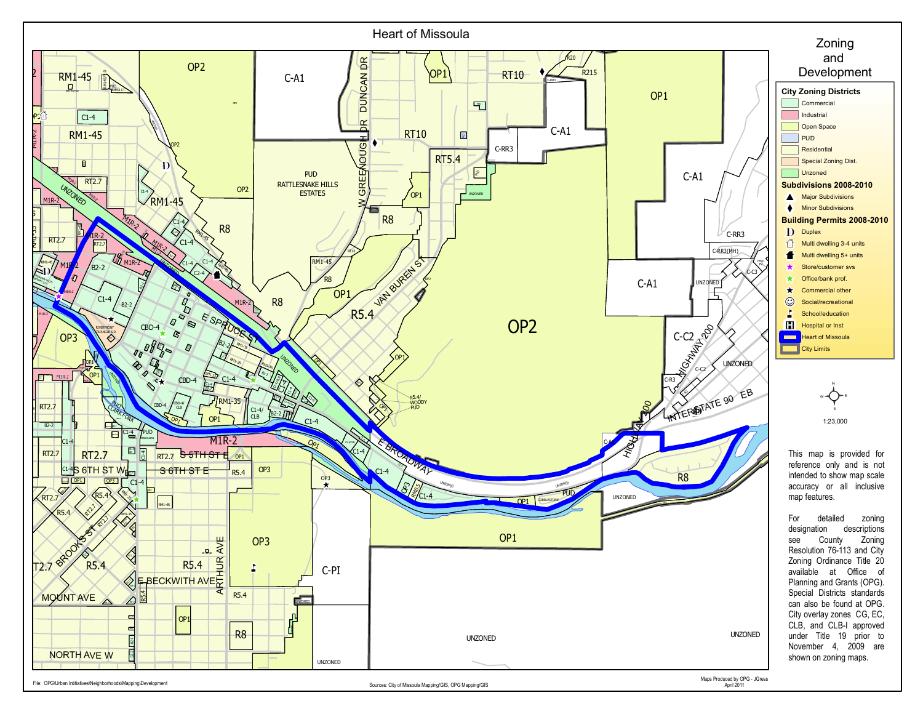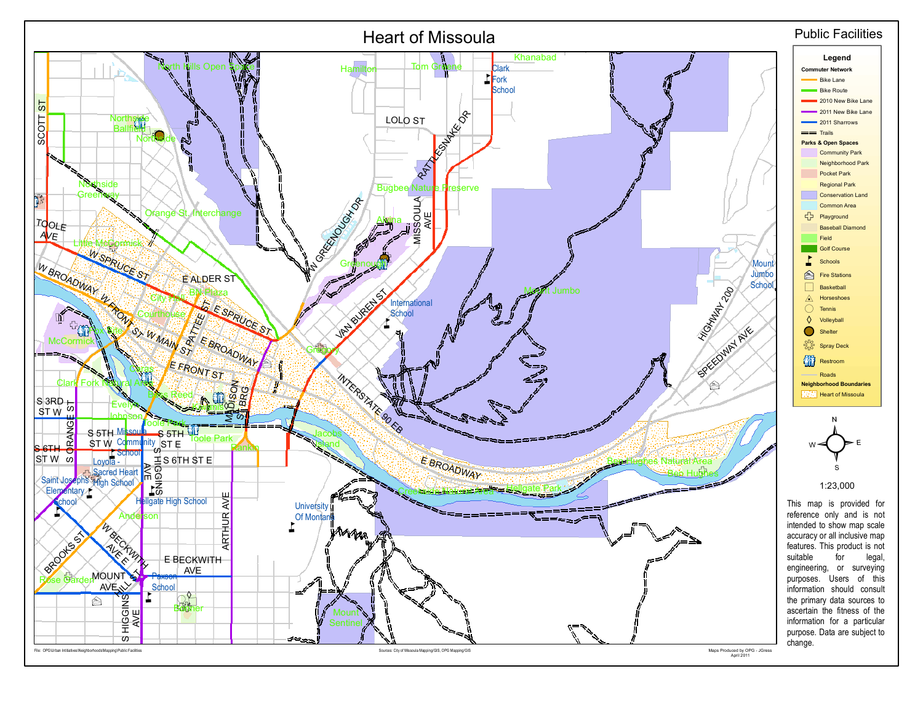